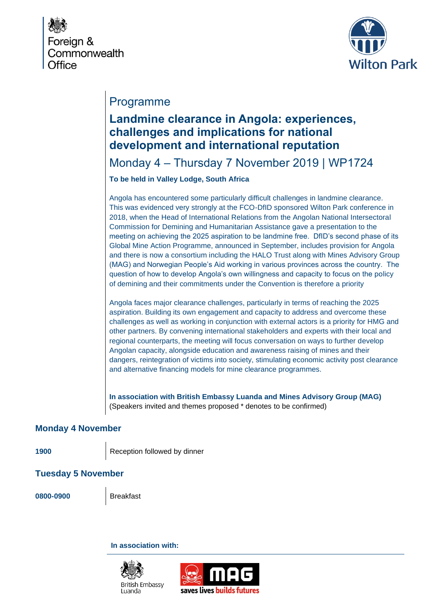



## Programme

## **Landmine clearance in Angola: experiences, challenges and implications for national development and international reputation**

Monday 4 – Thursday 7 November 2019 | WP1724

**To be held in Valley Lodge, South Africa**

Angola has encountered some particularly difficult challenges in landmine clearance. This was evidenced very strongly at the FCO-DfID sponsored Wilton Park conference in 2018, when the Head of International Relations from the Angolan National Intersectoral Commission for Demining and Humanitarian Assistance gave a presentation to the meeting on achieving the 2025 aspiration to be landmine free. DfID's second phase of its Global Mine Action Programme, announced in September, includes provision for Angola and there is now a consortium including the HALO Trust along with Mines Advisory Group (MAG) and Norwegian People's Aid working in various provinces across the country. The question of how to develop Angola's own willingness and capacity to focus on the policy of demining and their commitments under the Convention is therefore a priority

Angola faces major clearance challenges, particularly in terms of reaching the 2025 aspiration. Building its own engagement and capacity to address and overcome these challenges as well as working in conjunction with external actors is a priority for HMG and other partners. By convening international stakeholders and experts with their local and regional counterparts, the meeting will focus conversation on ways to further develop Angolan capacity, alongside education and awareness raising of mines and their dangers, reintegration of victims into society, stimulating economic activity post clearance and alternative financing models for mine clearance programmes.

**In association with British Embassy Luanda and Mines Advisory Group (MAG)** (Speakers invited and themes proposed \* denotes to be confirmed)

## **Monday 4 November**

1900 Reception followed by dinner

**Tuesday 5 November**

**0800-0900** Breakfast

**In association with:**

**British Embassy** 

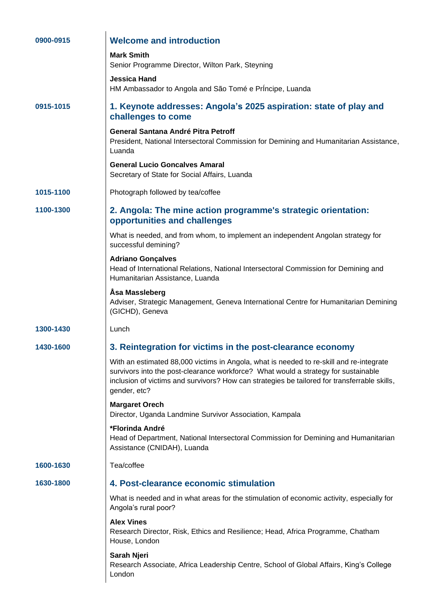| 0900-0915 | <b>Welcome and introduction</b>                                                                                                                                                                                                                                                               |
|-----------|-----------------------------------------------------------------------------------------------------------------------------------------------------------------------------------------------------------------------------------------------------------------------------------------------|
|           | <b>Mark Smith</b><br>Senior Programme Director, Wilton Park, Steyning                                                                                                                                                                                                                         |
|           | <b>Jessica Hand</b><br>HM Ambassador to Angola and São Tomé e Príncipe, Luanda                                                                                                                                                                                                                |
| 0915-1015 | 1. Keynote addresses: Angola's 2025 aspiration: state of play and<br>challenges to come                                                                                                                                                                                                       |
|           | General Santana André Pitra Petroff<br>President, National Intersectoral Commission for Demining and Humanitarian Assistance,<br>Luanda                                                                                                                                                       |
|           | <b>General Lucio Goncalves Amaral</b><br>Secretary of State for Social Affairs, Luanda                                                                                                                                                                                                        |
| 1015-1100 | Photograph followed by tea/coffee                                                                                                                                                                                                                                                             |
| 1100-1300 | 2. Angola: The mine action programme's strategic orientation:<br>opportunities and challenges                                                                                                                                                                                                 |
|           | What is needed, and from whom, to implement an independent Angolan strategy for<br>successful demining?                                                                                                                                                                                       |
|           | <b>Adriano Gonçalves</b><br>Head of International Relations, National Intersectoral Commission for Demining and<br>Humanitarian Assistance, Luanda                                                                                                                                            |
|           | Åsa Massleberg<br>Adviser, Strategic Management, Geneva International Centre for Humanitarian Demining<br>(GICHD), Geneva                                                                                                                                                                     |
| 1300-1430 | Lunch                                                                                                                                                                                                                                                                                         |
| 1430-1600 | 3. Reintegration for victims in the post-clearance economy                                                                                                                                                                                                                                    |
|           | With an estimated 88,000 victims in Angola, what is needed to re-skill and re-integrate<br>survivors into the post-clearance workforce? What would a strategy for sustainable<br>inclusion of victims and survivors? How can strategies be tailored for transferrable skills,<br>gender, etc? |
|           | <b>Margaret Orech</b><br>Director, Uganda Landmine Survivor Association, Kampala                                                                                                                                                                                                              |
|           | *Florinda André<br>Head of Department, National Intersectoral Commission for Demining and Humanitarian<br>Assistance (CNIDAH), Luanda                                                                                                                                                         |
| 1600-1630 | Tea/coffee                                                                                                                                                                                                                                                                                    |
| 1630-1800 | 4. Post-clearance economic stimulation                                                                                                                                                                                                                                                        |
|           | What is needed and in what areas for the stimulation of economic activity, especially for<br>Angola's rural poor?                                                                                                                                                                             |
|           | <b>Alex Vines</b><br>Research Director, Risk, Ethics and Resilience; Head, Africa Programme, Chatham<br>House, London                                                                                                                                                                         |
|           | Sarah Njeri<br>Research Associate, Africa Leadership Centre, School of Global Affairs, King's College<br>London                                                                                                                                                                               |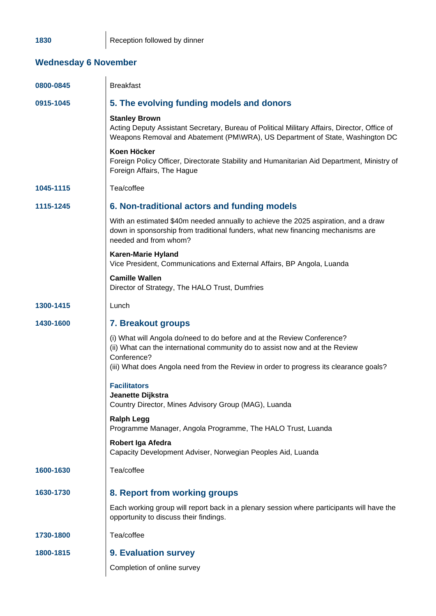1830 **Reception followed by dinner** 

## **Wednesday 6 November**

| 0800-0845 | <b>Breakfast</b>                                                                                                                                                                                                                                                |
|-----------|-----------------------------------------------------------------------------------------------------------------------------------------------------------------------------------------------------------------------------------------------------------------|
| 0915-1045 | 5. The evolving funding models and donors                                                                                                                                                                                                                       |
|           | <b>Stanley Brown</b><br>Acting Deputy Assistant Secretary, Bureau of Political Military Affairs, Director, Office of<br>Weapons Removal and Abatement (PM\WRA), US Department of State, Washington DC                                                           |
|           | Koen Höcker<br>Foreign Policy Officer, Directorate Stability and Humanitarian Aid Department, Ministry of<br>Foreign Affairs, The Hague                                                                                                                         |
| 1045-1115 | Tea/coffee                                                                                                                                                                                                                                                      |
| 1115-1245 | 6. Non-traditional actors and funding models                                                                                                                                                                                                                    |
|           | With an estimated \$40m needed annually to achieve the 2025 aspiration, and a draw<br>down in sponsorship from traditional funders, what new financing mechanisms are<br>needed and from whom?                                                                  |
|           | <b>Karen-Marie Hyland</b><br>Vice President, Communications and External Affairs, BP Angola, Luanda                                                                                                                                                             |
|           | <b>Camille Wallen</b><br>Director of Strategy, The HALO Trust, Dumfries                                                                                                                                                                                         |
| 1300-1415 | Lunch                                                                                                                                                                                                                                                           |
| 1430-1600 | <b>7. Breakout groups</b>                                                                                                                                                                                                                                       |
|           | (i) What will Angola do/need to do before and at the Review Conference?<br>(ii) What can the international community do to assist now and at the Review<br>Conference?<br>(iii) What does Angola need from the Review in order to progress its clearance goals? |
|           | <b>Facilitators</b>                                                                                                                                                                                                                                             |
|           | Jeanette Dijkstra<br>Country Director, Mines Advisory Group (MAG), Luanda                                                                                                                                                                                       |
|           | <b>Ralph Legg</b><br>Programme Manager, Angola Programme, The HALO Trust, Luanda                                                                                                                                                                                |
|           | Robert Iga Afedra<br>Capacity Development Adviser, Norwegian Peoples Aid, Luanda                                                                                                                                                                                |
| 1600-1630 | Tea/coffee                                                                                                                                                                                                                                                      |
| 1630-1730 | 8. Report from working groups                                                                                                                                                                                                                                   |
|           | Each working group will report back in a plenary session where participants will have the<br>opportunity to discuss their findings.                                                                                                                             |
| 1730-1800 | Tea/coffee                                                                                                                                                                                                                                                      |
| 1800-1815 | 9. Evaluation survey                                                                                                                                                                                                                                            |
|           | Completion of online survey                                                                                                                                                                                                                                     |